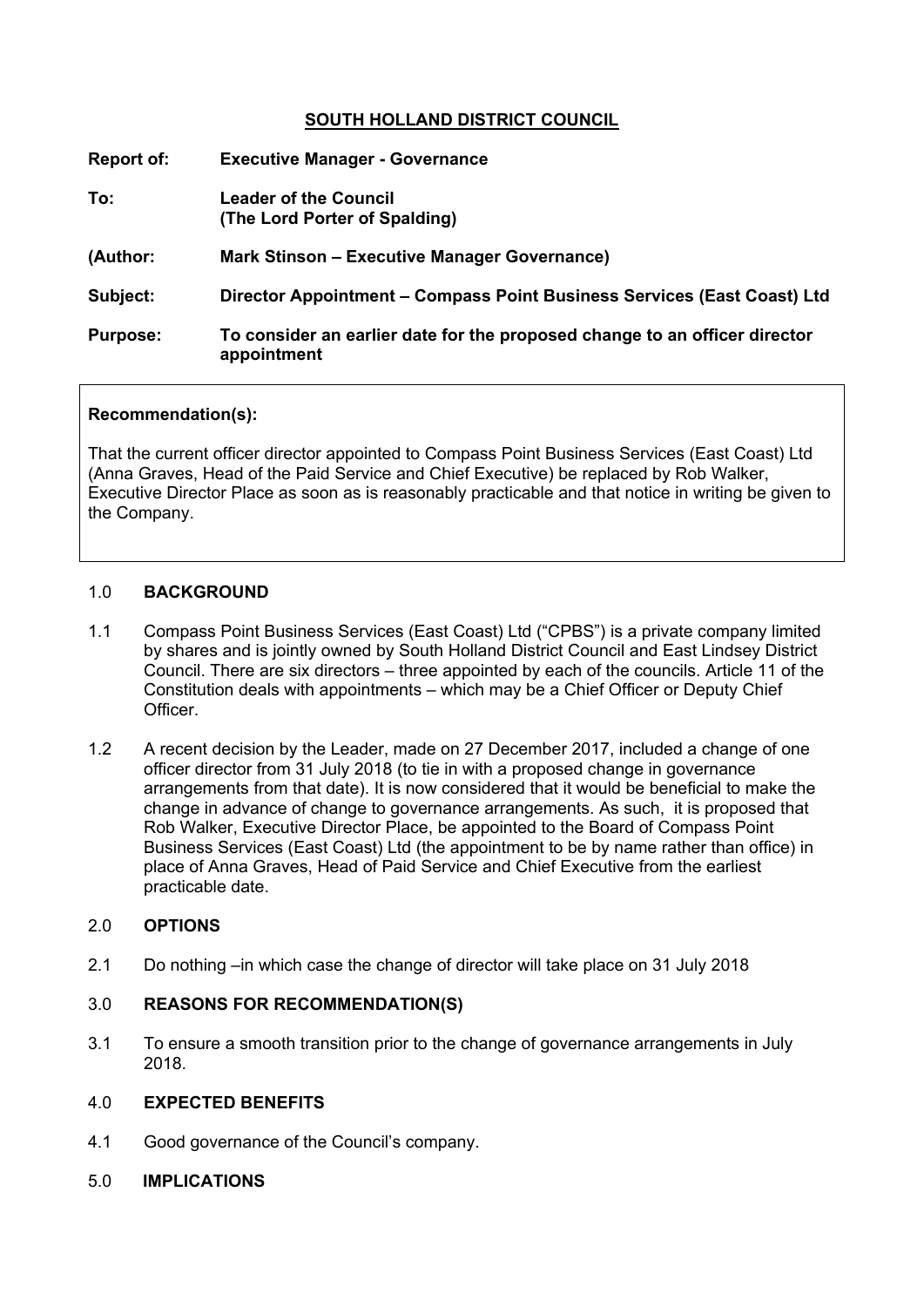# **SOUTH HOLLAND DISTRICT COUNCIL**

| <b>Report of:</b> | <b>Executive Manager - Governance</b>                                                     |
|-------------------|-------------------------------------------------------------------------------------------|
| To:               | Leader of the Council<br>(The Lord Porter of Spalding)                                    |
| (Author:          | <b>Mark Stinson – Executive Manager Governance)</b>                                       |
| Subject:          | Director Appointment – Compass Point Business Services (East Coast) Ltd                   |
| <b>Purpose:</b>   | To consider an earlier date for the proposed change to an officer director<br>appointment |

## **Recommendation(s):**

That the current officer director appointed to Compass Point Business Services (East Coast) Ltd (Anna Graves, Head of the Paid Service and Chief Executive) be replaced by Rob Walker, Executive Director Place as soon as is reasonably practicable and that notice in writing be given to the Company.

## 1.0 **BACKGROUND**

- 1.1 Compass Point Business Services (East Coast) Ltd ("CPBS") is a private company limited by shares and is jointly owned by South Holland District Council and East Lindsey District Council. There are six directors – three appointed by each of the councils. Article 11 of the Constitution deals with appointments – which may be a Chief Officer or Deputy Chief **Officer**
- 1.2 A recent decision by the Leader, made on 27 December 2017, included a change of one officer director from 31 July 2018 (to tie in with a proposed change in governance arrangements from that date). It is now considered that it would be beneficial to make the change in advance of change to governance arrangements. As such, it is proposed that Rob Walker, Executive Director Place, be appointed to the Board of Compass Point Business Services (East Coast) Ltd (the appointment to be by name rather than office) in place of Anna Graves, Head of Paid Service and Chief Executive from the earliest practicable date.

## 2.0 **OPTIONS**

2.1 Do nothing –in which case the change of director will take place on 31 July 2018

# 3.0 **REASONS FOR RECOMMENDATION(S)**

3.1 To ensure a smooth transition prior to the change of governance arrangements in July 2018.

## 4.0 **EXPECTED BENEFITS**

- 4.1 Good governance of the Council's company.
- 5.0 **IMPLICATIONS**